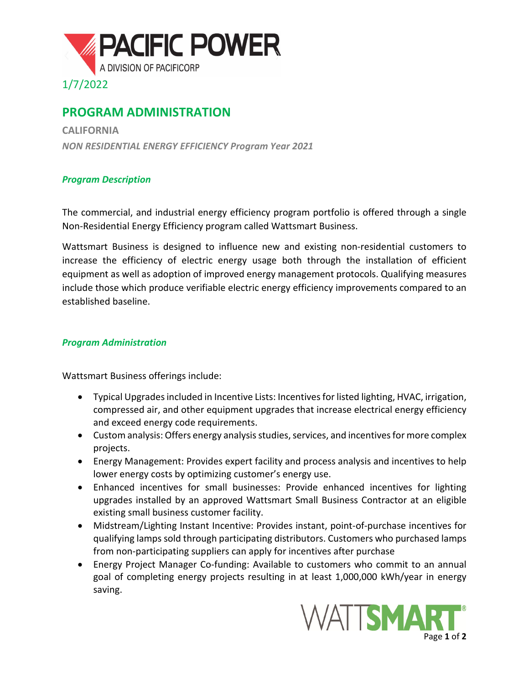

## **PROGRAM ADMINISTRATION**

**CALIFORNIA** *NON RESIDENTIAL ENERGY EFFICIENCY Program Year 2021*

## *Program Description*

The commercial, and industrial energy efficiency program portfolio is offered through a single Non-Residential Energy Efficiency program called Wattsmart Business.

Wattsmart Business is designed to influence new and existing non-residential customers to increase the efficiency of electric energy usage both through the installation of efficient equipment as well as adoption of improved energy management protocols. Qualifying measures include those which produce verifiable electric energy efficiency improvements compared to an established baseline.

## *Program Administration*

Wattsmart Business offerings include:

- Typical Upgrades included in Incentive Lists: Incentives for listed lighting, HVAC, irrigation, compressed air, and other equipment upgrades that increase electrical energy efficiency and exceed energy code requirements.
- Custom analysis: Offers energy analysis studies, services, and incentives for more complex projects.
- Energy Management: Provides expert facility and process analysis and incentives to help lower energy costs by optimizing customer's energy use.
- Enhanced incentives for small businesses: Provide enhanced incentives for lighting upgrades installed by an approved Wattsmart Small Business Contractor at an eligible existing small business customer facility.
- Midstream/Lighting Instant Incentive: Provides instant, point-of-purchase incentives for qualifying lamps sold through participating distributors. Customers who purchased lamps from non-participating suppliers can apply for incentives after purchase
- Energy Project Manager Co-funding: Available to customers who commit to an annual goal of completing energy projects resulting in at least 1,000,000 kWh/year in energy saving.